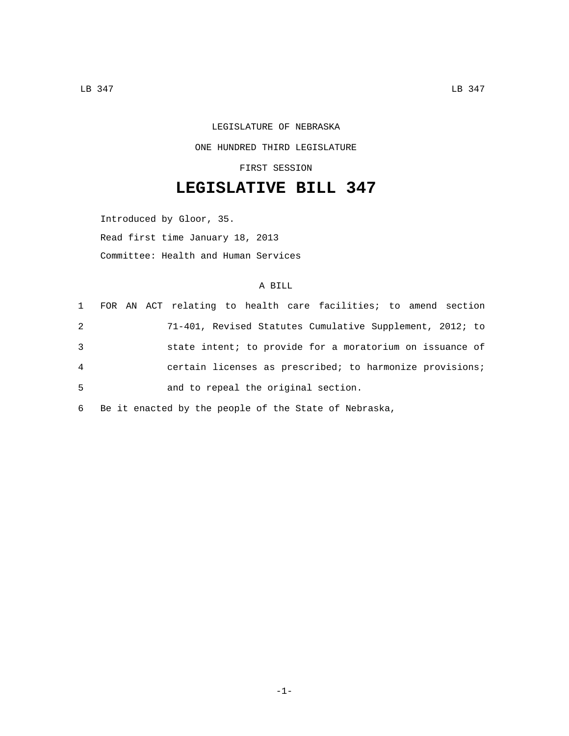## LEGISLATURE OF NEBRASKA ONE HUNDRED THIRD LEGISLATURE FIRST SESSION

## **LEGISLATIVE BILL 347**

Introduced by Gloor, 35. Read first time January 18, 2013 Committee: Health and Human Services

## A BILL

|                |  | 1 FOR AN ACT relating to health care facilities; to amend section |
|----------------|--|-------------------------------------------------------------------|
| 2              |  | 71-401, Revised Statutes Cumulative Supplement, 2012; to          |
| 3              |  | state intent; to provide for a moratorium on issuance of          |
| $\overline{4}$ |  | certain licenses as prescribed; to harmonize provisions;          |
| 5              |  | and to repeal the original section.                               |
|                |  |                                                                   |

6 Be it enacted by the people of the State of Nebraska,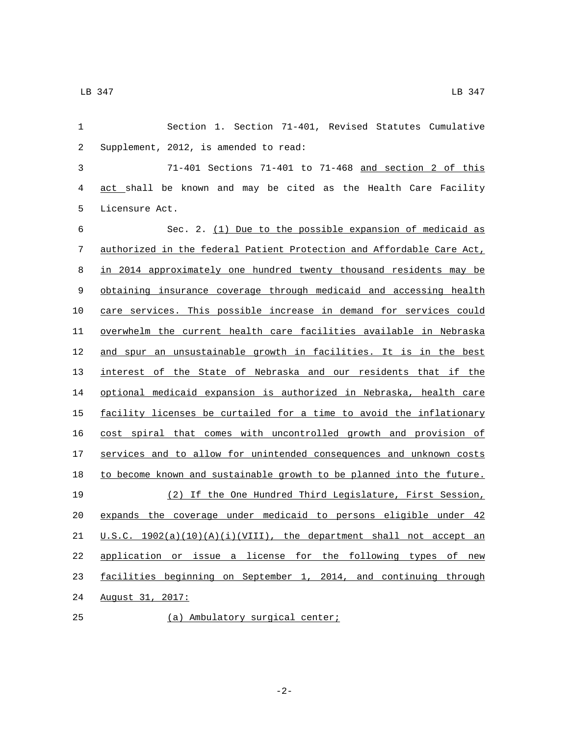Section 1. Section 71-401, Revised Statutes Cumulative Supplement, 2012, is amended to read:2 71-401 Sections 71-401 to 71-468 and section 2 of this act shall be known and may be cited as the Health Care Facility 5 Licensure Act. Sec. 2. (1) Due to the possible expansion of medicaid as authorized in the federal Patient Protection and Affordable Care Act, in 2014 approximately one hundred twenty thousand residents may be

 obtaining insurance coverage through medicaid and accessing health care services. This possible increase in demand for services could overwhelm the current health care facilities available in Nebraska and spur an unsustainable growth in facilities. It is in the best interest of the State of Nebraska and our residents that if the optional medicaid expansion is authorized in Nebraska, health care 15 facility licenses be curtailed for a time to avoid the inflationary cost spiral that comes with uncontrolled growth and provision of 17 services and to allow for unintended consequences and unknown costs 18 to become known and sustainable growth to be planned into the future. (2) If the One Hundred Third Legislature, First Session, expands the coverage under medicaid to persons eligible under 42  $U.S.C. 1902(a)(10)(A)(i)(VIII)$ , the department shall not accept an application or issue a license for the following types of new facilities beginning on September 1, 2014, and continuing through 24 August 31, 2017:

(a) Ambulatory surgical center;25